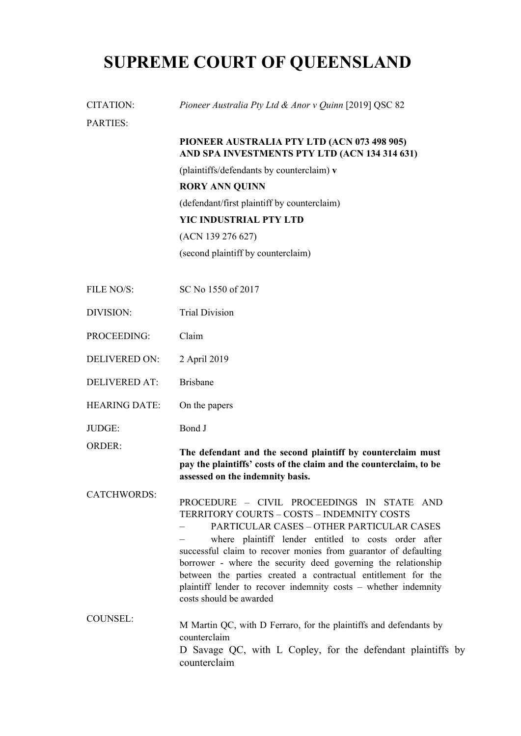## **SUPREME COURT OF QUEENSLAND**

| CITATION:            | Pioneer Australia Pty Ltd & Anor v Quinn [2019] QSC 82                                                                                                                                                                                                                                                                                                                                                                                                                                           |
|----------------------|--------------------------------------------------------------------------------------------------------------------------------------------------------------------------------------------------------------------------------------------------------------------------------------------------------------------------------------------------------------------------------------------------------------------------------------------------------------------------------------------------|
| <b>PARTIES:</b>      |                                                                                                                                                                                                                                                                                                                                                                                                                                                                                                  |
|                      | PIONEER AUSTRALIA PTY LTD (ACN 073 498 905)<br>AND SPA INVESTMENTS PTY LTD (ACN 134 314 631)                                                                                                                                                                                                                                                                                                                                                                                                     |
|                      | (plaintiffs/defendants by counterclaim) v                                                                                                                                                                                                                                                                                                                                                                                                                                                        |
|                      | <b>RORY ANN QUINN</b>                                                                                                                                                                                                                                                                                                                                                                                                                                                                            |
|                      | (defendant/first plaintiff by counterclaim)                                                                                                                                                                                                                                                                                                                                                                                                                                                      |
|                      | YIC INDUSTRIAL PTY LTD                                                                                                                                                                                                                                                                                                                                                                                                                                                                           |
|                      | (ACN 139 276 627)                                                                                                                                                                                                                                                                                                                                                                                                                                                                                |
|                      | (second plaintiff by counterclaim)                                                                                                                                                                                                                                                                                                                                                                                                                                                               |
| FILE NO/S:           | SC No 1550 of 2017                                                                                                                                                                                                                                                                                                                                                                                                                                                                               |
| DIVISION:            | <b>Trial Division</b>                                                                                                                                                                                                                                                                                                                                                                                                                                                                            |
| PROCEEDING:          | Claim                                                                                                                                                                                                                                                                                                                                                                                                                                                                                            |
| <b>DELIVERED ON:</b> | 2 April 2019                                                                                                                                                                                                                                                                                                                                                                                                                                                                                     |
| <b>DELIVERED AT:</b> | <b>Brisbane</b>                                                                                                                                                                                                                                                                                                                                                                                                                                                                                  |
| <b>HEARING DATE:</b> | On the papers                                                                                                                                                                                                                                                                                                                                                                                                                                                                                    |
| JUDGE:               | Bond J                                                                                                                                                                                                                                                                                                                                                                                                                                                                                           |
| <b>ORDER:</b>        | The defendant and the second plaintiff by counterclaim must<br>pay the plaintiffs' costs of the claim and the counterclaim, to be<br>assessed on the indemnity basis.                                                                                                                                                                                                                                                                                                                            |
| <b>CATCHWORDS:</b>   | PROCEDURE - CIVIL PROCEEDINGS IN STATE AND<br>TERRITORY COURTS - COSTS - INDEMNITY COSTS<br>PARTICULAR CASES - OTHER PARTICULAR CASES<br>where plaintiff lender entitled to costs order after<br>successful claim to recover monies from guarantor of defaulting<br>borrower - where the security deed governing the relationship<br>between the parties created a contractual entitlement for the<br>plaintiff lender to recover indemnity costs - whether indemnity<br>costs should be awarded |
| <b>COUNSEL:</b>      | M Martin QC, with D Ferraro, for the plaintiffs and defendants by<br>counterclaim<br>D Savage QC, with L Copley, for the defendant plaintiffs by<br>counterclaim                                                                                                                                                                                                                                                                                                                                 |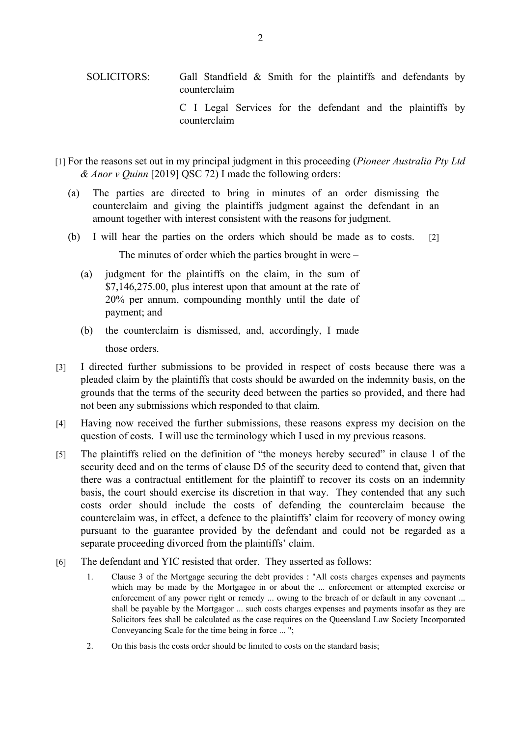- [1] For the reasons set out in my principal judgment in this proceeding (*Pioneer Australia Pty Ltd & Anor v Quinn* [2019] QSC 72) I made the following orders:
	- (a) The parties are directed to bring in minutes of an order dismissing the counterclaim and giving the plaintiffs judgment against the defendant in an amount together with interest consistent with the reasons for judgment.
	- (b) I will hear the parties on the orders which should be made as to costs. [2] The minutes of order which the parties brought in were –
		- (a) judgment for the plaintiffs on the claim, in the sum of \$7,146,275.00, plus interest upon that amount at the rate of 20% per annum, compounding monthly until the date of payment; and
		- (b) the counterclaim is dismissed, and, accordingly, I made those orders.
- [3] I directed further submissions to be provided in respect of costs because there was a pleaded claim by the plaintiffs that costs should be awarded on the indemnity basis, on the grounds that the terms of the security deed between the parties so provided, and there had not been any submissions which responded to that claim.
- [4] Having now received the further submissions, these reasons express my decision on the question of costs. I will use the terminology which I used in my previous reasons.
- [5] The plaintiffs relied on the definition of "the moneys hereby secured" in clause 1 of the security deed and on the terms of clause D5 of the security deed to contend that, given that there was a contractual entitlement for the plaintiff to recover its costs on an indemnity basis, the court should exercise its discretion in that way. They contended that any such costs order should include the costs of defending the counterclaim because the counterclaim was, in effect, a defence to the plaintiffs' claim for recovery of money owing pursuant to the guarantee provided by the defendant and could not be regarded as a separate proceeding divorced from the plaintiffs' claim.
- [6] The defendant and YIC resisted that order. They asserted as follows:
	- 1. Clause 3 of the Mortgage securing the debt provides : "All costs charges expenses and payments which may be made by the Mortgagee in or about the ... enforcement or attempted exercise or enforcement of any power right or remedy ... owing to the breach of or default in any covenant ... shall be payable by the Mortgagor ... such costs charges expenses and payments insofar as they are Solicitors fees shall be calculated as the case requires on the Queensland Law Society Incorporated Conveyancing Scale for the time being in force ... ";
	- 2. On this basis the costs order should be limited to costs on the standard basis;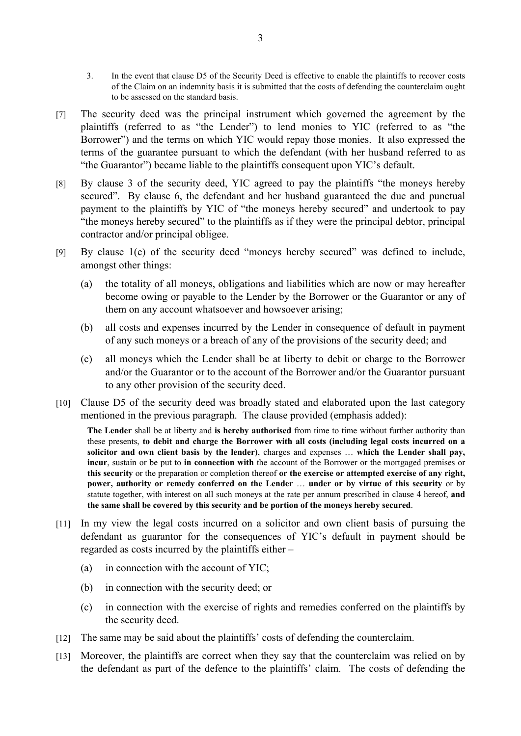- 3. In the event that clause D5 of the Security Deed is effective to enable the plaintiffs to recover costs of the Claim on an indemnity basis it is submitted that the costs of defending the counterclaim ought to be assessed on the standard basis.
- [7] The security deed was the principal instrument which governed the agreement by the plaintiffs (referred to as "the Lender") to lend monies to YIC (referred to as "the Borrower") and the terms on which YIC would repay those monies. It also expressed the terms of the guarantee pursuant to which the defendant (with her husband referred to as "the Guarantor") became liable to the plaintiffs consequent upon YIC's default.
- [8] By clause 3 of the security deed, YIC agreed to pay the plaintiffs "the moneys hereby secured". By clause 6, the defendant and her husband guaranteed the due and punctual payment to the plaintiffs by YIC of "the moneys hereby secured" and undertook to pay "the moneys hereby secured" to the plaintiffs as if they were the principal debtor, principal contractor and/or principal obligee.
- [9] By clause 1(e) of the security deed "moneys hereby secured" was defined to include, amongst other things:
	- (a) the totality of all moneys, obligations and liabilities which are now or may hereafter become owing or payable to the Lender by the Borrower or the Guarantor or any of them on any account whatsoever and howsoever arising;
	- (b) all costs and expenses incurred by the Lender in consequence of default in payment of any such moneys or a breach of any of the provisions of the security deed; and
	- (c) all moneys which the Lender shall be at liberty to debit or charge to the Borrower and/or the Guarantor or to the account of the Borrower and/or the Guarantor pursuant to any other provision of the security deed.
- [10] Clause D5 of the security deed was broadly stated and elaborated upon the last category mentioned in the previous paragraph. The clause provided (emphasis added):

**The Lender** shall be at liberty and **is hereby authorised** from time to time without further authority than these presents, **to debit and charge the Borrower with all costs (including legal costs incurred on a solicitor and own client basis by the lender)**, charges and expenses … **which the Lender shall pay, incur**, sustain or be put to **in connection with** the account of the Borrower or the mortgaged premises or **this security** or the preparation or completion thereof **or the exercise or attempted exercise of any right, power, authority or remedy conferred on the Lender** … **under or by virtue of this security** or by statute together, with interest on all such moneys at the rate per annum prescribed in clause 4 hereof, **and the same shall be covered by this security and be portion of the moneys hereby secured**.

- [11] In my view the legal costs incurred on a solicitor and own client basis of pursuing the defendant as guarantor for the consequences of YIC's default in payment should be regarded as costs incurred by the plaintiffs either –
	- (a) in connection with the account of YIC;
	- (b) in connection with the security deed; or
	- (c) in connection with the exercise of rights and remedies conferred on the plaintiffs by the security deed.
- [12] The same may be said about the plaintiffs' costs of defending the counterclaim.
- [13] Moreover, the plaintiffs are correct when they say that the counterclaim was relied on by the defendant as part of the defence to the plaintiffs' claim. The costs of defending the